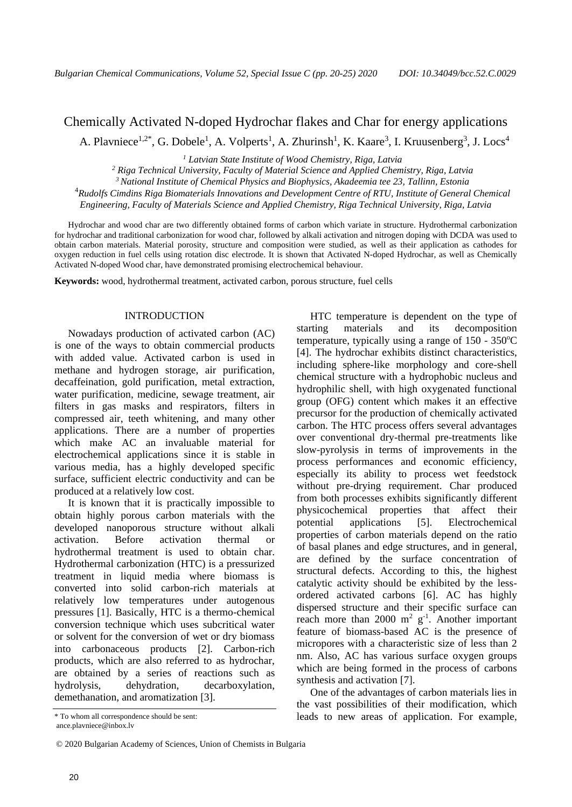# [Chemically Activated N-doped Hydrochar flakes a](https://www.researchgate.net/publication/332298647_Chemically_Activated_Hydrochar_Flakes_from_Birch_Wood)nd Char for energy applications A. Plavniece<sup>1,2\*</sup>, G. Dobele<sup>1</sup>, A. Volperts<sup>1</sup>, A. Zhurinsh<sup>1</sup>, K. Kaare<sup>3</sup>, I. Kruusenberg<sup>3</sup>, J. Locs<sup>4</sup>

*<sup>1</sup> Latvian State Institute of Wood Chemistry, Riga, Latvia*

*<sup>2</sup> Riga Technical University, Faculty of Material Science and Applied Chemistry, Riga, Latvia*

*<sup>3</sup>National Institute of Chemical Physics and Biophysics, Akadeemia tee 23, Tallinn, Estonia*

<sup>4</sup>*Rudolfs Cimdins Riga Biomaterials Innovations and Development Centre of RTU, Institute of General Chemical* 

*Engineering, Faculty of Materials Science and Applied Chemistry, Riga Technical University, Riga, Latvia*

Hydrochar and wood char are two differently obtained forms of carbon which variate in structure. Hydrothermal carbonization for hydrochar and traditional carbonization for wood char, followed by alkali activation and nitrogen doping with DCDA was used to obtain carbon materials. Material porosity, structure and composition were studied, as well as their application as cathodes for oxygen reduction in fuel cells using rotation disc electrode. It is shown that Activated N-doped Hydrochar, as well as [Chemically](https://www.researchgate.net/publication/332298647_Chemically_Activated_Hydrochar_Flakes_from_Birch_Wood)  [Activated N-doped](https://www.researchgate.net/publication/332298647_Chemically_Activated_Hydrochar_Flakes_from_Birch_Wood) Wood char, have demonstrated promising electrochemical behaviour.

**Keywords:** wood, hydrothermal treatment, activated carbon, porous structure, fuel cells

#### INTRODUCTION

Nowadays production of activated carbon (AC) is one of the ways to obtain commercial products with added value. Activated carbon is used in methane and hydrogen storage, air purification, decaffeination, gold purification, metal extraction, water purification, medicine, sewage treatment, air filters in gas masks and respirators, filters in compressed air, teeth whitening, and many other applications. There are a number of properties which make AC an invaluable material for electrochemical applications since it is stable in various media, has a highly developed specific surface, sufficient electric conductivity and can be produced at a relatively low cost.

It is known that it is practically impossible to obtain highly porous carbon materials with the developed nanoporous structure without alkali activation. Before activation thermal or hydrothermal treatment is used to obtain char. Hydrothermal carbonization (HTC) is a pressurized treatment in liquid media where biomass is converted into solid carbon-rich materials at relatively low temperatures under autogenous pressures [1]. Basically, HTC is a thermo-chemical conversion technique which uses subcritical water or solvent for the conversion of wet or dry biomass into carbonaceous products [2]. Carbon-rich products, which are also referred to as hydrochar, are obtained by a series of reactions such as hydrolysis, dehydration, decarboxylation, demethanation, and aromatization [3].

© 2020 Bulgarian Academy of Sciences, Union of Chemists in Bulgaria

HTC temperature is dependent on the type of starting materials and its decomposition temperature, typically using a range of  $150 - 350^{\circ}$ C [4]. The hydrochar exhibits distinct characteristics, including sphere-like morphology and core-shell chemical structure with a hydrophobic nucleus and hydrophilic shell, with high oxygenated functional group (OFG) content which makes it an effective precursor for the production of chemically activated carbon. The HTC process offers several advantages over conventional dry-thermal pre-treatments like slow-pyrolysis in terms of improvements in the process performances and economic efficiency, especially its ability to process wet feedstock without pre-drying requirement. Char produced from both processes exhibits significantly different physicochemical properties that affect their potential applications [5]. Electrochemical properties of carbon materials depend on the ratio of basal planes and edge structures, and in general, are defined by the surface concentration of structural defects. According to this, the highest catalytic activity should be exhibited by the lessordered activated carbons [6]. AC has highly dispersed structure and their specific surface can reach more than 2000  $m^2$  g<sup>-1</sup>. Another important feature of biomass-based AC is the presence of micropores with a characteristic size of less than 2 nm. Also, AC has various surface oxygen groups which are being formed in the process of carbons synthesis and activation [7].

One of the advantages of carbon materials lies in the vast possibilities of their modification, which leads to new areas of application. For example,

<sup>\*</sup> To whom all correspondence should be sent: ance.plavniece@inbox.lv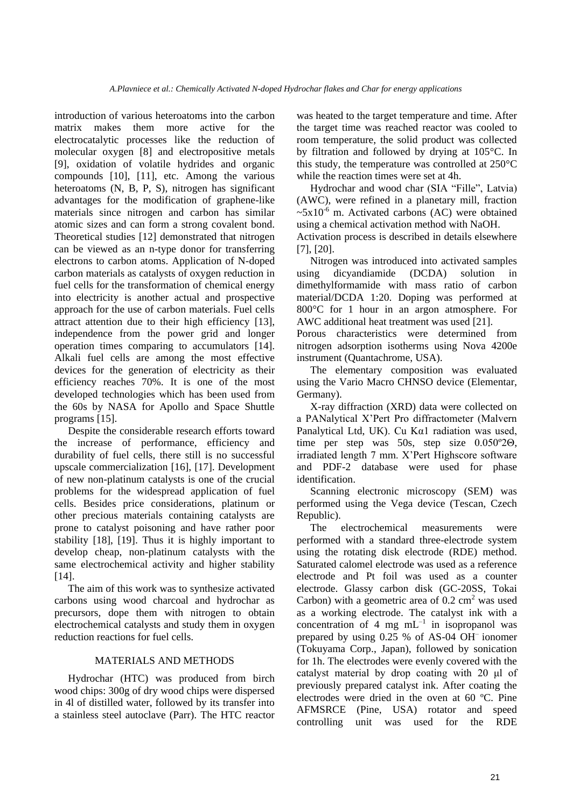introduction of various heteroatoms into the carbon matrix makes them more active for the electrocatalytic processes like the reduction of molecular oxygen [8] and electropositive metals [9], oxidation of volatile hydrides and organic compounds [10], [11], etc. Among the various heteroatoms (N, B, P, S), nitrogen has significant advantages for the modification of graphene-like materials since nitrogen and carbon has similar atomic sizes and can form a strong covalent bond. Theoretical studies [12] demonstrated that nitrogen can be viewed as an n-type donor for transferring electrons to carbon atoms. Application of N-doped carbon materials as catalysts of oxygen reduction in fuel cells for the transformation of chemical energy into electricity is another actual and prospective approach for the use of carbon materials. Fuel cells attract attention due to their high efficiency [13], independence from the power grid and longer operation times comparing to accumulators [14]. Alkali fuel cells are among the most effective devices for the generation of electricity as their efficiency reaches 70%. It is one of the most developed technologies which has been used from the 60s by NASA for Apollo and Space Shuttle programs [15].

Despite the considerable research efforts toward the increase of performance, efficiency and durability of fuel cells, there still is no successful upscale commercialization [16], [17]. Development of new non-platinum catalysts is one of the crucial problems for the widespread application of fuel cells. Besides price considerations, platinum or other precious materials containing catalysts are prone to catalyst poisoning and have rather poor stability [18], [19]. Thus it is highly important to develop cheap, non-platinum catalysts with the same electrochemical activity and higher stability [14].

The aim of this work was to synthesize activated carbons using wood charcoal and hydrochar as precursors, dope them with nitrogen to obtain electrochemical catalysts and study them in oxygen reduction reactions for fuel cells.

# MATERIALS AND METHODS

Hydrochar (HTC) was produced from birch wood chips: 300g of dry wood chips were dispersed in 4l of distilled water, followed by its transfer into a stainless steel autoclave (Parr). The HTC reactor was heated to the target temperature and time. After the target time was reached reactor was cooled to room temperature, the solid product was collected by filtration and followed by drying at 105°C. In this study, the temperature was controlled at 250°C while the reaction times were set at 4h.

Hydrochar and wood char (SIA "Fille", Latvia) (AWC), were refined in a planetary mill, fraction  $\sim 5x10^{-6}$  m. Activated carbons (AC) were obtained using a chemical activation method with NaOH.

Activation process is described in details elsewhere [7], [20].

Nitrogen was introduced into activated samples using dicyandiamide (DCDA) solution in dimethylformamide with mass ratio of carbon material/DCDA 1:20. Doping was performed at 800°C for 1 hour in an argon atmosphere. For AWC additional heat treatment was used [21].

Porous characteristics were determined from nitrogen adsorption isotherms using Nova 4200e instrument (Quantachrome, USA).

The elementary composition was evaluated using the Vario Macro CHNSO device (Elementar, Germany).

X-ray diffraction (XRD) data were collected on a PANalytical X'Pert Pro diffractometer (Malvern Panalytical Ltd, UK). Cu K $\alpha$ 1 radiation was used, time per step was 50s, step size 0.050º2Θ, irradiated length 7 mm. X'Pert Highscore software and PDF-2 database were used for phase identification.

Scanning electronic microscopy (SEM) was performed using the Vega device (Tescan, Czech Republic).

The electrochemical measurements were performed with a standard three-electrode system using the rotating disk electrode (RDE) method. Saturated calomel electrode was used as a reference electrode and Pt foil was used as a counter electrode. Glassy carbon disk (GC-20SS, Tokai Carbon) with a geometric area of  $0.2 \text{ cm}^2$  was used as a working electrode. The catalyst ink with a concentration of 4 mg  $mL^{-1}$  in isopropanol was prepared by using 0.25 % of AS-04 OH– ionomer (Tokuyama Corp., Japan), followed by sonication for 1h. The electrodes were evenly covered with the catalyst material by drop coating with 20 μl of previously prepared catalyst ink. After coating the electrodes were dried in the oven at 60 ºC. Pine AFMSRCE (Pine, USA) rotator and speed controlling unit was used for the RDE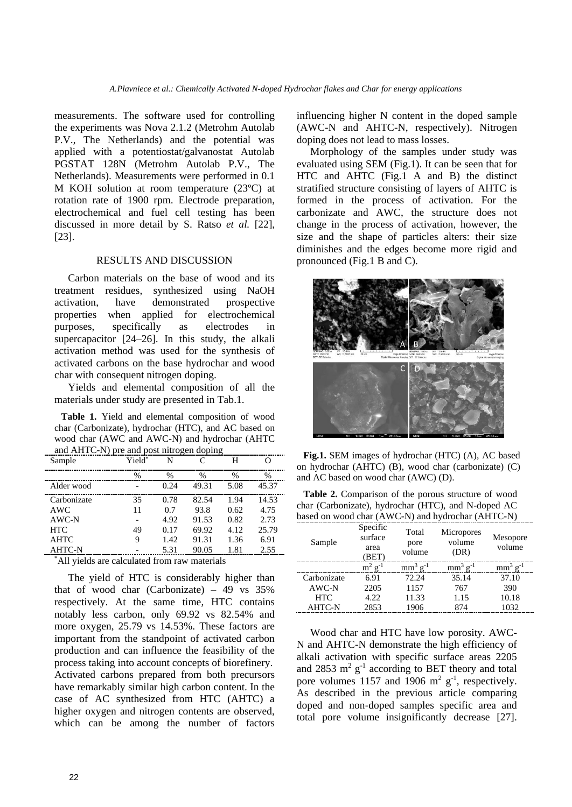measurements. The software used for controlling the experiments was Nova 2.1.2 (Metrohm Autolab P.V., The Netherlands) and the potential was applied with a potentiostat/galvanostat Autolab PGSTAT 128N (Metrohm Autolab P.V., The Netherlands). Measurements were performed in 0.1 M KOH solution at room temperature (23ºC) at rotation rate of 1900 rpm. Electrode preparation, electrochemical and fuel cell testing has been discussed in more detail by S. Ratso *et al.* [22], [23].

# RESULTS AND DISCUSSION

Carbon materials on the base of wood and its treatment residues, synthesized using NaOH activation, have demonstrated prospective properties when applied for electrochemical purposes, specifically as electrodes in supercapacitor [24–26]. In this study, the alkali activation method was used for the synthesis of activated carbons on the base hydrochar and wood char with consequent nitrogen doping.

Yields and elemental composition of all the materials under study are presented in Tab.1.

**Table 1.** Yield and elemental composition of wood char (Carbonizate), hydrochar (HTC), and AC based on wood char (AWC and AWC-N) and hydrochar (AHTC and AHTC-N) pre and post nitrogen doping

| Sample        | Yield* | N    | C     | н    |       |
|---------------|--------|------|-------|------|-------|
|               | %      | $\%$ | %     | %    | $\%$  |
| Alder wood    |        | 0.24 | 49.31 | 5.08 | 45.37 |
| Carbonizate   | 35     | 0.78 | 82.54 | 1.94 | 14.53 |
| AWC           | 11     | 0.7  | 93.8  | 0.62 | 4.75  |
| $AWC-N$       |        | 4.92 | 91.53 | 0.82 | 2.73  |
| <b>HTC</b>    | 49     | 0.17 | 69.92 | 4.12 | 25.79 |
| <b>AHTC</b>   | 9      | 1.42 | 91.31 | 1.36 | 6.91  |
| <b>AHTC-N</b> |        | 5.31 | 90.05 | 1.81 | 2.55  |

\*All yields are calculated from raw materials

The yield of HTC is considerably higher than that of wood char (Carbonizate) – 49 vs 35% respectively. At the same time, HTC contains notably less carbon, only 69.92 vs 82.54% and more oxygen, 25.79 vs 14.53%. These factors are important from the standpoint of activated carbon production and can influence the feasibility of the process taking into account concepts of biorefinery. Activated carbons prepared from both precursors have remarkably similar high carbon content. In the case of AC synthesized from HTC (AHTC) a higher oxygen and nitrogen contents are observed, which can be among the number of factors

influencing higher N content in the doped sample (AWC-N and AHTC-N, respectively). Nitrogen doping does not lead to mass losses.

Morphology of the samples under study was evaluated using SEM (Fig.1). It can be seen that for HTC and AHTC (Fig.1 A and B) the distinct stratified structure consisting of layers of AHTC is formed in the process of activation. For the carbonizate and AWC, the structure does not change in the process of activation, however, the size and the shape of particles alters: their size diminishes and the edges become more rigid and pronounced (Fig.1 B and C).



**Fig.1.** SEM images of hydrochar (HTC) (A), AC based on hydrochar (AHTC) (B), wood char (carbonizate) (C) and AC based on wood char (AWC) (D).

**Table 2.** Comparison of the porous structure of wood char (Carbonizate), hydrochar (HTC), and N-doped AC based on wood char (AWC-N) and hydrochar (AHTC-N)

| Sample        | Specific<br>surface<br>area<br>(BET) | Total<br>pore<br>volume | Micropores<br>volume<br>(DR) | Mesopore<br>volume |
|---------------|--------------------------------------|-------------------------|------------------------------|--------------------|
|               | $m^2 g^{-1}$                         | $mm^3$ g <sup>-1</sup>  | $mm^3$ g <sup>-1</sup>       | $mm3 g-1$          |
| Carbonizate   | 6.91                                 | 72.24                   | 35.14                        | 37.10              |
| AWC-N         | 2205                                 | 1157                    | 767                          | 390                |
| <b>HTC</b>    | 4.22                                 | 11.33                   | 1.15                         | 10.18              |
| <b>AHTC-N</b> | 2853                                 | 1906                    | 874                          | 1032               |

Wood char and HTC have low porosity. AWC-N and AHTC-N demonstrate the high efficiency of alkali activation with specific surface areas 2205 and 2853  $m^2$   $g^{-1}$  according to BET theory and total pore volumes 1157 and 1906  $m^2$  g<sup>-1</sup>, respectively. As described in the previous article comparing doped and non-doped samples specific area and total pore volume insignificantly decrease [27].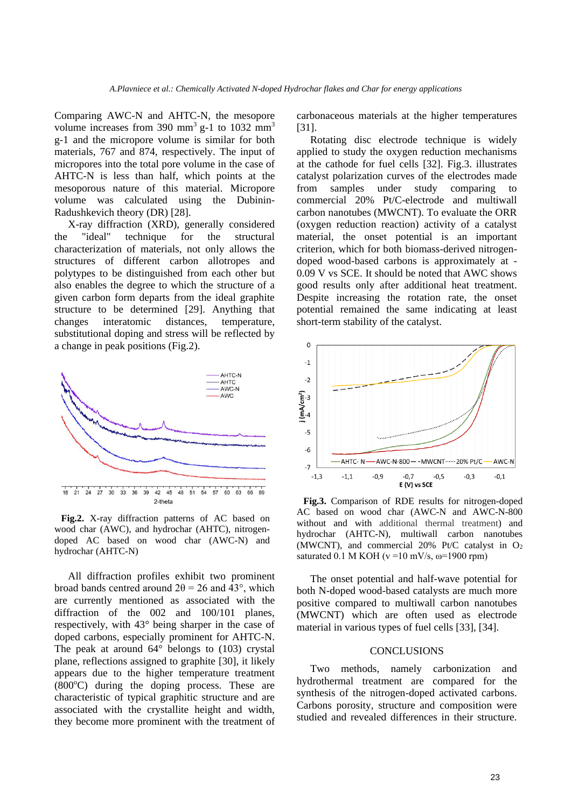Comparing AWC-N and AHTC-N, the mesopore volume increases from 390  $\text{mm}^3$  g-1 to 1032  $\text{mm}^3$ g-1 and the micropore volume is similar for both materials, 767 and 874, respectively. The input of micropores into the total pore volume in the case of AHTC-N is less than half, which points at the mesoporous nature of this material. Micropore volume was calculated using the Dubinin-Radushkevich theory (DR) [28].

X-ray diffraction (XRD), generally considered the "ideal" technique for the structural characterization of materials, not only allows the structures of different carbon allotropes and polytypes to be distinguished from each other but also enables the degree to which the structure of a given carbon form departs from the ideal graphite structure to be determined [29]. Anything that changes interatomic distances, temperature, substitutional doping and stress will be reflected by a change in peak positions (Fig.2).



**Fig.2.** X-ray diffraction patterns of AC based on wood char (AWC), and hydrochar (AHTC), nitrogendoped AC based on wood char (AWC-N) and hydrochar (AHTC-N)

All diffraction profiles exhibit two prominent broad bands centred around  $2\theta = 26$  and  $43^{\circ}$ , which are currently mentioned as associated with the diffraction of the 002 and 100/101 planes, respectively, with 43° being sharper in the case of doped carbons, especially prominent for AHTC-N. The peak at around 64° belongs to (103) crystal plane, reflections assigned to graphite [30], it likely appears due to the higher temperature treatment  $(800^{\circ}C)$  during the doping process. These are characteristic of typical graphitic structure and are associated with the crystallite height and width, they become more prominent with the treatment of carbonaceous materials at the higher temperatures [31].

Rotating disc electrode technique is widely applied to study the oxygen reduction mechanisms at the cathode for fuel cells [32]. Fig.3. illustrates catalyst polarization curves of the electrodes made from samples under study comparing to commercial 20% Pt/C-electrode and multiwall carbon nanotubes (MWCNT). To evaluate the ORR (oxygen reduction reaction) activity of a catalyst material, the onset potential is an important criterion, which for both biomass-derived nitrogendoped wood-based carbons is approximately at - 0.09 V vs SCE. It should be noted that AWC shows good results only after additional heat treatment. Despite increasing the rotation rate, the onset potential remained the same indicating at least short-term stability of the catalyst.



**Fig.3.** Comparison of RDE results for nitrogen-doped AC based on wood char (AWC-N and AWC-N-800 without and with additional thermal treatment) and hydrochar (AHTC-N), multiwall carbon nanotubes (MWCNT), and commercial 20% Pt/C catalyst in  $O_2$ saturated 0.1 M KOH ( $v = 10$  mV/s,  $\omega = 1900$  rpm)

The onset potential and half-wave potential for both N-doped wood-based catalysts are much more positive compared to multiwall carbon nanotubes (MWCNT) which are often used as electrode material in various types of fuel cells [33], [34].

#### CONCLUSIONS

Two methods, namely carbonization and hydrothermal treatment are compared for the synthesis of the nitrogen-doped activated carbons. Carbons porosity, structure and composition were studied and revealed differences in their structure.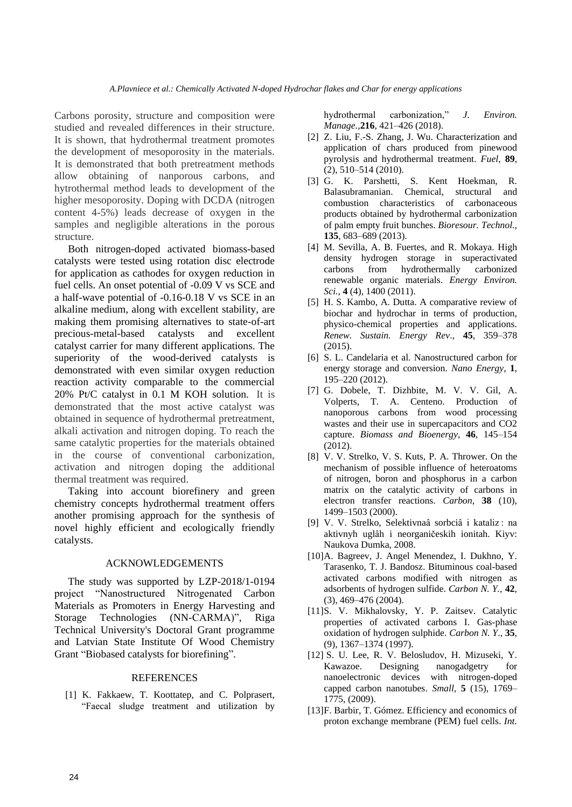Carbons porosity, structure and composition were studied and revealed differences in their structure. It is shown, that hydrothermal treatment promotes the development of mesoporosity in the materials. It is demonstrated that both pretreatment methods allow obtaining of nanporous carbons, and hytrothermal method leads to development of the higher mesoporosity. Doping with DCDA (nitrogen content 4-5%) leads decrease of oxygen in the samples and negligible alterations in the porous structure.

Both nitrogen-doped activated biomass-based catalysts were tested using rotation disc electrode for application as cathodes for oxygen reduction in fuel cells. An onset potential of -0.09 V vs SCE and a half-wave potential of -0.16-0.18 V vs SCE in an alkaline medium, along with excellent stability, are making them promising alternatives to state-of-art precious-metal-based catalysts and excellent catalyst carrier for many different applications. The superiority of the wood-derived catalysts is demonstrated with even similar oxygen reduction reaction activity comparable to the commercial 20% Pt/C catalyst in 0.1 M KOH solution. It is demonstrated that the most active catalyst was obtained in sequence of hydrothermal pretreatment, alkali activation and nitrogen doping. To reach the same catalytic properties for the materials obtained in the course of conventional carbonization, activation and nitrogen doping the additional thermal treatment was required.

Taking into account biorefinery and green chemistry concepts hydrothermal treatment offers another promising approach for the synthesis of novel highly efficient and ecologically friendly catalysts.

# ACKNOWLEDGEMENTS

The study was supported by LZP-2018/1-0194 project "Nanostructured Nitrogenated Carbon Materials as Promoters in Energy Harvesting and Storage Technologies (NN-CARMA)", Riga Technical University's Doctoral Grant programme and Latvian State Institute Of Wood Chemistry Grant "Biobased catalysts for biorefining".

### **REFERENCES**

[1] K. Fakkaew, T. Koottatep, and C. Polprasert, "Faecal sludge treatment and utilization by hydrothermal carbonization," *J. Environ. Manage.*,**216**, 421–426 (2018).

- [2] Z. Liu, F.-S. Zhang, J. Wu. Characterization and application of chars produced from pinewood pyrolysis and hydrothermal treatment. *Fuel*, **89**, (2), 510–514 (2010).
- [3] G. K. Parshetti, S. Kent Hoekman, R. Balasubramanian. Chemical, structural and combustion characteristics of carbonaceous products obtained by hydrothermal carbonization of palm empty fruit bunches. *Bioresour. Technol.,* **135**, 683–689 (2013).
- [4] M. Sevilla, A. B. Fuertes, and R. Mokaya. High density hydrogen storage in superactivated carbons from hydrothermally carbonized renewable organic materials. *Energy Environ. Sci.*, **4** (4), 1400 (2011).
- [5] H. S. Kambo, A. Dutta. A comparative review of biochar and hydrochar in terms of production, physico-chemical properties and applications. *Renew. Sustain. Energy Rev*., **45**, 359–378 (2015).
- [6] S. L. Candelaria et al. Nanostructured carbon for energy storage and conversion. *Nano Energy*, **1**, 195–220 (2012).
- [7] G. Dobele, T. Dizhbite, M. V. V. Gil, A. Volperts, T. A. Centeno. Production of nanoporous carbons from wood processing wastes and their use in supercapacitors and CO2 capture. *Biomass and Bioenergy*, **46**, 145–154 (2012).
- [8] V. V. Strelko, V. S. Kuts, P. A. Thrower. On the mechanism of possible influence of heteroatoms of nitrogen, boron and phosphorus in a carbon matrix on the catalytic activity of carbons in electron transfer reactions. *Carbon*, **38** (10), 1499–1503 (2000).
- [9] V. V. Strelko, Selektivnaâ sorbciâ i kataliz : na aktivnyh uglâh i neorganičeskih ionitah. Kiyv: Naukova Dumka, 2008.
- [10]A. Bagreev, J. Angel Menendez, I. Dukhno, Y. Tarasenko, T. J. Bandosz. Bituminous coal-based activated carbons modified with nitrogen as adsorbents of hydrogen sulfide. *Carbon N. Y.,* **42**, (3), 469–476 (2004).
- [11]S. V. Mikhalovsky, Y. P. Zaitsev. Catalytic properties of activated carbons I. Gas-phase oxidation of hydrogen sulphide. *Carbon N. Y*., **35**, (9), 1367–1374 (1997).
- [12] S. U. Lee, R. V. Belosludov, H. Mizuseki, Y. Kawazoe. Designing nanogadgetry for nanoelectronic devices with nitrogen-doped capped carbon nanotubes. *Small*, **5** (15), 1769– 1775, (2009).
- [13]F. Barbir, T. Gómez. Efficiency and economics of proton exchange membrane (PEM) fuel cells. *Int.*